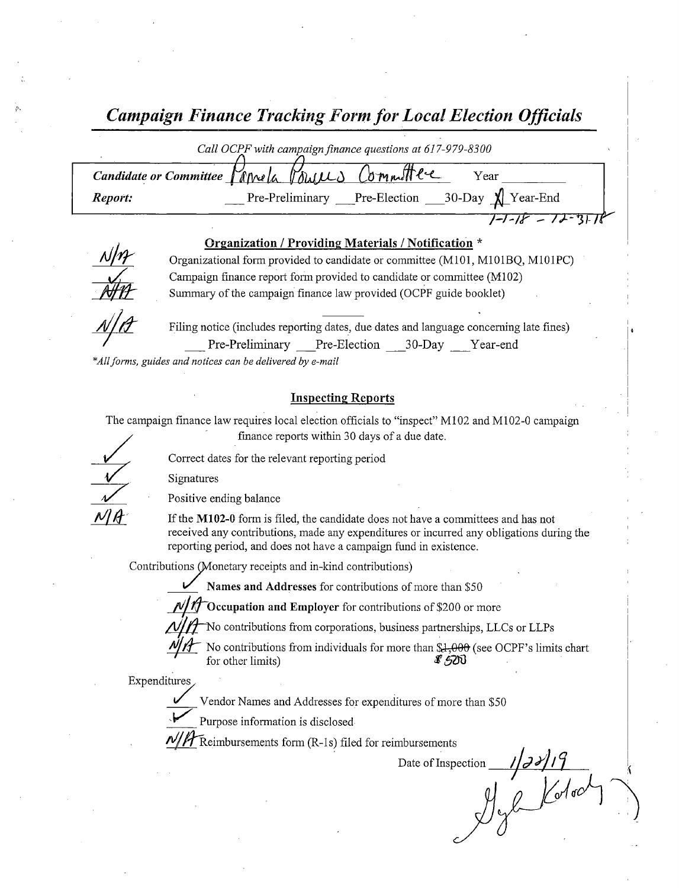Campaign Finance Tracking Form for Local Election Officials

|         | Call OCPF with campaign finance questions at 617-979-8300         |
|---------|-------------------------------------------------------------------|
|         | Candidate or Committee Varnela Volutes Committee<br>Year          |
| Report: | $30$ -Day $\bigwedge$ Year-End<br>Pre-Election<br>Pre-Preliminary |
|         |                                                                   |

#### Organization / Providing Materials / Notification \*



Organizational form provided to candidate or committee( M101, M101BQ, M101PC) Campaign finance report form provided to candidate or committee (M102) Summary of the campaign finance law provided( OCPF guide booklet)



Filing notice (includes reporting dates, due dates and language concerning late fines) Pre-Preliminary Pre-Election 30-Day Year-end

\*All forms, guides and notices can be delivered by e-mail

### **Inspecting Reports**

The campaign finance law requires local election officials to "inspect" M102 and M102-0 campaign

finance reports within 30 days of <sup>a</sup> due date.

Correct dates for the relevant reporting period

Signatures

Positive ending balance

If the M102-0 form is filed, the candidate does not have a committees and has not received any contributions, made any expenditures or incurred any obligations during the reporting period, and does not have a campaign fund in existence.

Contributions (Monetary receipts and in-kind contributions)

Names and Addresses for contributions of more than \$50

V<br>VM<br>11 A

Occupation and Employer for contributions of \$200 or more

No contributions from corporations, business partnerships, LLCs or LLPs

No contributions from individuals for more than  $\$4,000$  (see OCPF's limits chart for other limits) for other limits)

Expenditures

Vendor Names and Addresses for expenditures of more than \$50

 $\blacktriangleright$ Purpose information is disclosed

 $\mathcal T$  Reimbursements form (R-1s) filed for reimbursements

Date of Inspection  $\frac{1}{3}$ <br> $\frac{1}{3}$ <br> $\frac{1}{3}$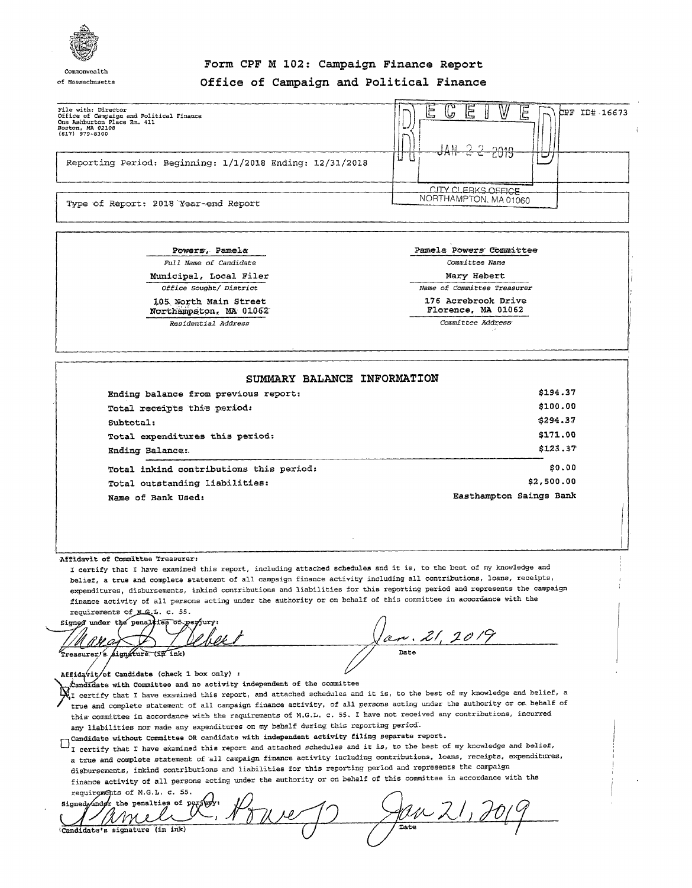

## Form CPF <sup>M</sup> 102: Campaign Finance Report of Massachusetts Office of Campaign and Political Finance

| File with: Director<br>Office of Campaign and Political Finance<br>One Ashburton Place Rm. 411<br>Boston, MA 02108<br>$(617)$ 979-8300 | <b>Printers</b><br>است<br>W<br>I≔<br>しっ<br>CPF ID# 16673<br>≔ו<br>ڪا<br>$-$<br>ാ ച<br>A NL<br>0010 |  |
|----------------------------------------------------------------------------------------------------------------------------------------|----------------------------------------------------------------------------------------------------|--|
| Reporting Period: Beginning: 1/1/2018 Ending: 12/31/2018                                                                               | $\sigma$ MHT I I CUIT<br>ы<br>نما                                                                  |  |
|                                                                                                                                        | CITY CLEBKS OFFICE.                                                                                |  |
| Type of Report: 2018 Year-end Report                                                                                                   | NORTHAMPTON, MA 01060                                                                              |  |

Powers, Pamela **Pamela Powers** Committee Full Name of Candidate **Committee Name** Municipal, Local Filer Mary Hebert 105 North Main Street 176 Acrebrook Drive<br>Northampston, MA 01062

Northampaton, MA 01062 Residential Address Committee Address,

Office Sought] District Name of Committee Treasurer

| SUMMARY BALANCE INFORMATION             |                         |
|-----------------------------------------|-------------------------|
| Ending balance from previous report:    | \$194.37                |
| Total receipts this period:             | \$100.00                |
| Subtotal:                               | \$294.37                |
| Total expenditures this period:         | \$171.00                |
| Ending Balance:                         | \$123.37                |
| Total inkind contributions this period: | \$0.00                  |
| Total outstanding liabilities:          | \$2,500.00              |
| Name of Bank Used:                      | Easthampton Saings Bank |

Affidavit of committee Treasurer:

I certify that I have examined this report, including attached schedules and it is, to the best of my knowledge and I certify that I have examined this report, including attached schedules and it is, to the best of my knowledge and<br>belief, a true and complete statement of all campaign finance activity including all contributions, loans expenditures, disbursements, inkind contributions and liabilities for this reporting period and represents the campaign finance activity of all persons acting under the authority or on behalf of this committee in accordance with the

requirements of M.G.L. c. 55.<br>Signed under the penalties of perfury

 $\alpha_r$  . 21. 2019

 $Affidqvit/of$  Candidate (check 1 box only) :

X. I certify that I have examined this report, and attached schedules and it is, to the best of my knowledge and belief, a true and complete statement of all campaign finance activity, of all persons acting under the autho  $k$  and idate with Committee and no activity independent of the committee I certify that I have examined this report, and attached schedules and it is, to the best of my knowledge and belief, a this committee in accordance with the requirements of M.G.L. c. 55. I have not received any contributions, incurred

any liabilities nor made any expenditures on my behalf during this reporting period-

Candidate without committee OR candidate with independent activity filing separate report. I certify that I have examined this report and attached schedules and it is, to the best of my knowledge and belief, <sup>a</sup> true and complete statement of all campaign finance activity including contributions, loans, receipts, expenditures, disbursements, inkind contributions and liabilities for this reporting period and represents the campaign finance activity of all persons acting under the authority or on behalf of this committee in accordance with the requirements of M.G.L. c. 55.

 $\arg{\mathrm{ned}}$  and  $\arg{\mathrm{ord}}$  the penalties of  $\arg{\mathrm{ord}}$ 'II W  $\ell$ Candidate's signature (in ink)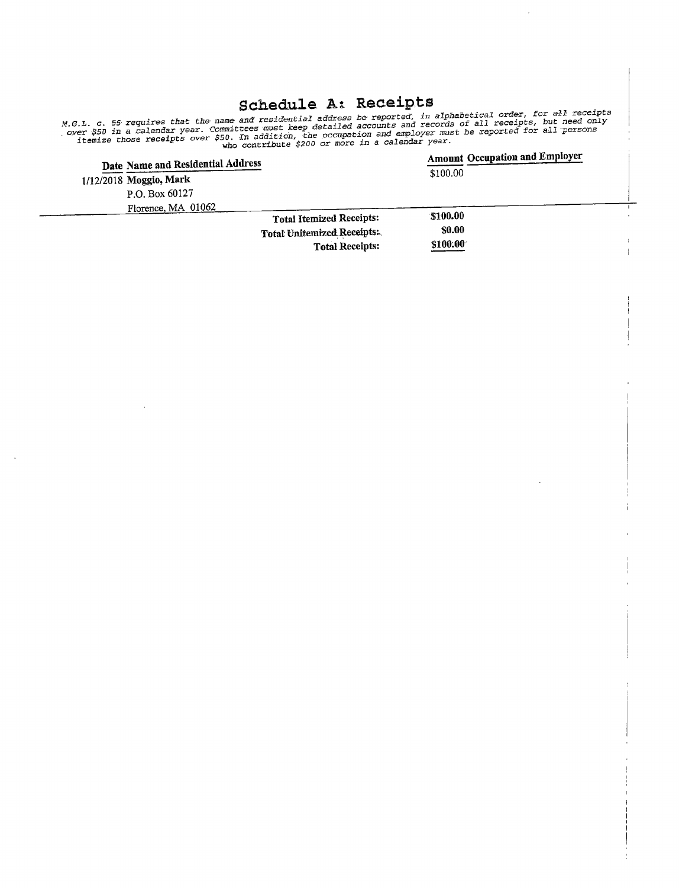# Schedule A: Receipts

M.G.L. c. 55 requires that the name and residential address be reported, in applacectod.<br>Over \$50 in a calendar year, Committees must keep detailed accounts and records of all receipts, but need only<br>Over \$50 in a calendar L. C. 55 requires that the must bees must keep detailed accounts and records of all receipts, but head on:<br>er \$50 in a calendar year. Committees must keep detailed accounts and employer must be reported for all persons<br>tem

| Date Name and Residential Address |                                 | <b>Amount Occupation and Employer</b> |
|-----------------------------------|---------------------------------|---------------------------------------|
| 1/12/2018 Moggio, Mark            |                                 | \$100.00                              |
| P.O. Box 60127                    |                                 |                                       |
| Florence, MA 01062                |                                 |                                       |
|                                   | <b>Total Itemized Receipts:</b> | \$100.00                              |
|                                   | Total Unitemized Receipts:      | <b>SO.00</b>                          |
|                                   | <b>Total Receipts:</b>          | \$100.00                              |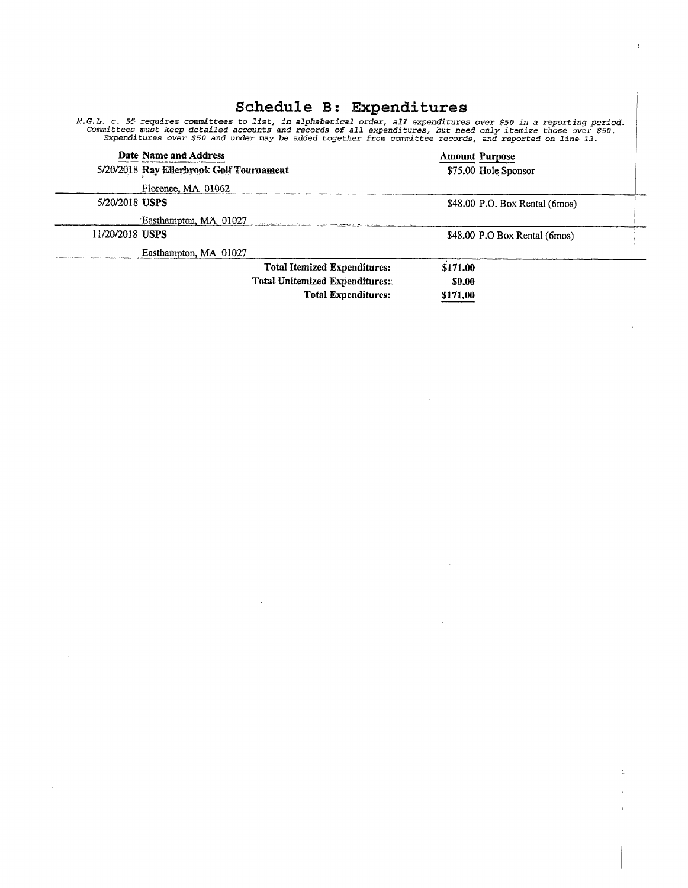|                                          | penedure p: expendicules                                                                                                                                                                                                                                                                                                                        |
|------------------------------------------|-------------------------------------------------------------------------------------------------------------------------------------------------------------------------------------------------------------------------------------------------------------------------------------------------------------------------------------------------|
|                                          | M.G.L. c. 55 requires committees to list, in alphabetical order, all expenditures over \$50 in a reporting period.<br>Committees must keep detailed accounts and records of all expenditures, but need only itemize those over \$50.<br>Expenditures over \$50 and under may be added together from committee records, and reported on line 13. |
| Date Name and Address                    | <b>Amount Purpose</b>                                                                                                                                                                                                                                                                                                                           |
| 5/20/2018 Ray Ellerbrook Golf Tournament | \$75.00 Hole Sponsor                                                                                                                                                                                                                                                                                                                            |
| Florence, MA 01062                       |                                                                                                                                                                                                                                                                                                                                                 |
| 5/20/2018 USPS                           | \$48.00 P.O. Box Rental (6mos)                                                                                                                                                                                                                                                                                                                  |
| Easthampton, MA 01027                    |                                                                                                                                                                                                                                                                                                                                                 |
| 11/20/2018 USPS                          | \$48.00 P.O Box Rental (6mos)                                                                                                                                                                                                                                                                                                                   |
| Easthampton, MA 01027                    |                                                                                                                                                                                                                                                                                                                                                 |
|                                          | <b>Total Itemized Expenditures:</b><br>\$171.00                                                                                                                                                                                                                                                                                                 |
|                                          | Total Unitemized Expenditures:<br><b>SO.00</b>                                                                                                                                                                                                                                                                                                  |
|                                          | <b>Total Expenditures:</b><br>\$171,00                                                                                                                                                                                                                                                                                                          |
|                                          |                                                                                                                                                                                                                                                                                                                                                 |

 $\label{eq:2.1} \frac{1}{\sqrt{2}}\int_{\mathbb{R}^3}\frac{1}{\sqrt{2}}\left(\frac{1}{\sqrt{2}}\right)^2\frac{1}{\sqrt{2}}\left(\frac{1}{\sqrt{2}}\right)^2\frac{1}{\sqrt{2}}\left(\frac{1}{\sqrt{2}}\right)^2\frac{1}{\sqrt{2}}\left(\frac{1}{\sqrt{2}}\right)^2\frac{1}{\sqrt{2}}\left(\frac{1}{\sqrt{2}}\right)^2\frac{1}{\sqrt{2}}\frac{1}{\sqrt{2}}\frac{1}{\sqrt{2}}\frac{1}{\sqrt{2}}\frac{1}{\sqrt{2}}\frac{1}{\sqrt{2}}$ 

 $\mathcal{L}^{\text{max}}_{\text{max}}$  and  $\mathcal{L}^{\text{max}}_{\text{max}}$ 

 $\sim 10^7$ 

 $\epsilon$ 

 $\label{eq:2.1} \frac{1}{\sqrt{2}}\int_{\mathbb{R}^3}\frac{1}{\sqrt{2}}\left(\frac{1}{\sqrt{2}}\right)^2\left(\frac{1}{\sqrt{2}}\right)^2\left(\frac{1}{\sqrt{2}}\right)^2\left(\frac{1}{\sqrt{2}}\right)^2\left(\frac{1}{\sqrt{2}}\right)^2\left(\frac{1}{\sqrt{2}}\right)^2.$ 

 $\label{eq:2.1} \frac{1}{\sqrt{2}}\left(\frac{1}{\sqrt{2}}\right)^{2} \left(\frac{1}{\sqrt{2}}\right)^{2} \left(\frac{1}{\sqrt{2}}\right)^{2} \left(\frac{1}{\sqrt{2}}\right)^{2} \left(\frac{1}{\sqrt{2}}\right)^{2} \left(\frac{1}{\sqrt{2}}\right)^{2} \left(\frac{1}{\sqrt{2}}\right)^{2} \left(\frac{1}{\sqrt{2}}\right)^{2} \left(\frac{1}{\sqrt{2}}\right)^{2} \left(\frac{1}{\sqrt{2}}\right)^{2} \left(\frac{1}{\sqrt{2}}\right)^{2} \left(\$ 

# Schedule B: Frnanditures

Ť

 $\frac{1}{\sqrt{1-\epsilon}}$ 

 $\label{eq:2.1} \frac{1}{\sqrt{2}}\int_{\mathbb{R}^3}\frac{1}{\sqrt{2}}\left(\frac{1}{\sqrt{2}}\right)^2\left(\frac{1}{\sqrt{2}}\right)^2\left(\frac{1}{\sqrt{2}}\right)^2\left(\frac{1}{\sqrt{2}}\right)^2\left(\frac{1}{\sqrt{2}}\right)^2.$ 

 $\sim 10^{11}$ 

 $\mathbb{R}^3$  .

 $\sim$   $\sim$ 

 $\label{eq:2.1} \frac{1}{\sqrt{2}}\sum_{i=1}^n\frac{1}{\sqrt{2}}\sum_{i=1}^n\frac{1}{\sqrt{2}}\sum_{i=1}^n\frac{1}{\sqrt{2}}\sum_{i=1}^n\frac{1}{\sqrt{2}}\sum_{i=1}^n\frac{1}{\sqrt{2}}\sum_{i=1}^n\frac{1}{\sqrt{2}}\sum_{i=1}^n\frac{1}{\sqrt{2}}\sum_{i=1}^n\frac{1}{\sqrt{2}}\sum_{i=1}^n\frac{1}{\sqrt{2}}\sum_{i=1}^n\frac{1}{\sqrt{2}}\sum_{i=1}^n\frac$